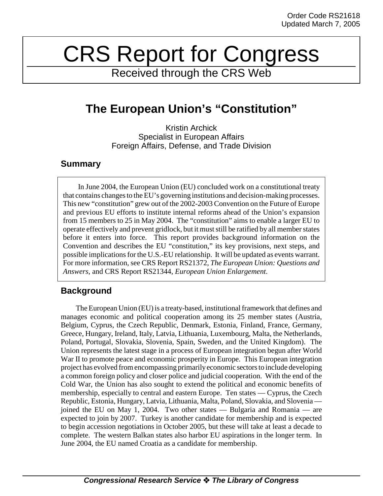# CRS Report for Congress

Received through the CRS Web

## **The European Union's "Constitution"**

Kristin Archick Specialist in European Affairs Foreign Affairs, Defense, and Trade Division

## **Summary**

In June 2004, the European Union (EU) concluded work on a constitutional treaty that contains changes to the EU's governing institutions and decision-making processes. This new "constitution" grew out of the 2002-2003 Convention on the Future of Europe and previous EU efforts to institute internal reforms ahead of the Union's expansion from 15 members to 25 in May 2004. The "constitution" aims to enable a larger EU to operate effectively and prevent gridlock, but it must still be ratified by all member states before it enters into force. This report provides background information on the Convention and describes the EU "constitution," its key provisions, next steps, and possible implications for the U.S.-EU relationship. It will be updated as events warrant. For more information, see CRS Report RS21372, *The European Union: Questions and Answers*, and CRS Report RS21344, *European Union Enlargement*.

## **Background**

The European Union (EU) is a treaty-based, institutional framework that defines and manages economic and political cooperation among its 25 member states (Austria, Belgium, Cyprus, the Czech Republic, Denmark, Estonia, Finland, France, Germany, Greece, Hungary, Ireland, Italy, Latvia, Lithuania, Luxembourg, Malta, the Netherlands, Poland, Portugal, Slovakia, Slovenia, Spain, Sweden, and the United Kingdom). The Union represents the latest stage in a process of European integration begun after World War II to promote peace and economic prosperity in Europe. This European integration project has evolved from encompassing primarily economic sectors to include developing a common foreign policy and closer police and judicial cooperation. With the end of the Cold War, the Union has also sought to extend the political and economic benefits of membership, especially to central and eastern Europe. Ten states — Cyprus, the Czech Republic, Estonia, Hungary, Latvia, Lithuania, Malta, Poland, Slovakia, and Slovenia joined the EU on May 1, 2004. Two other states — Bulgaria and Romania — are expected to join by 2007. Turkey is another candidate for membership and is expected to begin accession negotiations in October 2005, but these will take at least a decade to complete. The western Balkan states also harbor EU aspirations in the longer term. In June 2004, the EU named Croatia as a candidate for membership.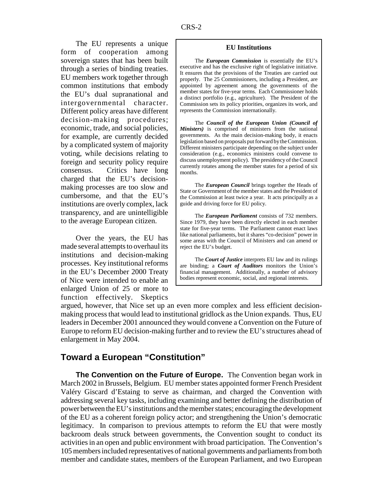The EU represents a unique form of cooperation among sovereign states that has been built through a series of binding treaties. EU members work together through common institutions that embody the EU's dual supranational and intergovernmental character. Different policy areas have different decision-making procedures; economic, trade, and social policies, for example, are currently decided by a complicated system of majority voting, while decisions relating to foreign and security policy require consensus. Critics have long charged that the EU's decisionmaking processes are too slow and cumbersome, and that the EU's institutions are overly complex, lack transparency, and are unintelligible to the average European citizen.

Over the years, the EU has made several attempts to overhaul its institutions and decision-making processes. Key institutional reforms in the EU's December 2000 Treaty of Nice were intended to enable an enlarged Union of 25 or more to function effectively. Skeptics

#### **EU Institutions**

The *European Commission* is essentially the EU's executive and has the exclusive right of legislative initiative. It ensures that the provisions of the Treaties are carried out properly. The 25 Commissioners, including a President, are appointed by agreement among the governments of the member states for five-year terms. Each Commissioner holds a distinct portfolio (e.g., agriculture). The President of the Commission sets its policy priorities, organizes its work, and represents the Commission internationally.

The *Council of the European Union (Council of Ministers)* is comprised of ministers from the national governments. As the main decision-making body, it enacts legislation based on proposals put forward by the Commission. Different ministers participate depending on the subject under consideration (e.g., economics ministers could convene to discuss unemployment policy). The presidency of the Council currently rotates among the member states for a period of six months.

The *European Council* brings together the Heads of State or Government of the member states and the President of the Commission at least twice a year. It acts principally as a guide and driving force for EU policy.

The *European Parliament* consists of 732 members. Since 1979, they have been directly elected in each member state for five-year terms. The Parliament cannot enact laws like national parliaments, but it shares "co-decision" power in some areas with the Council of Ministers and can amend or reject the EU's budget.

The *Court of Justice* interprets EU law and its rulings are binding; a *Court of Auditors* monitors the Union's financial management. Additionally, a number of advisory bodies represent economic, social, and regional interests.

argued, however, that Nice set up an even more complex and less efficient decisionmaking process that would lead to institutional gridlock as the Union expands. Thus, EU leaders in December 2001 announced they would convene a Convention on the Future of Europe to reform EU decision-making further and to review the EU's structures ahead of enlargement in May 2004.

## **Toward a European "Constitution"**

**The Convention on the Future of Europe.** The Convention began work in March 2002 in Brussels, Belgium. EU member states appointed former French President Valéry Giscard d'Estaing to serve as chairman, and charged the Convention with addressing several key tasks, including examining and better defining the distribution of power between the EU's institutions and the member states; encouraging the development of the EU as a coherent foreign policy actor; and strengthening the Union's democratic legitimacy. In comparison to previous attempts to reform the EU that were mostly backroom deals struck between governments, the Convention sought to conduct its activities in an open and public environment with broad participation. The Convention's 105 members included representatives of national governments and parliaments from both member and candidate states, members of the European Parliament, and two European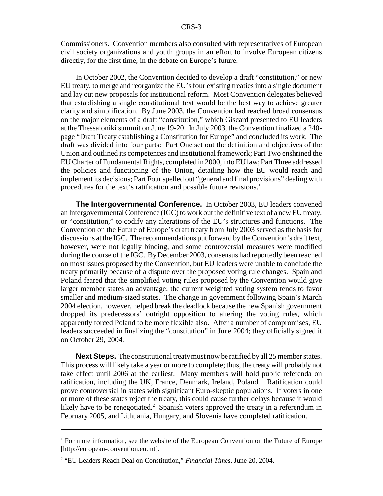Commissioners. Convention members also consulted with representatives of European civil society organizations and youth groups in an effort to involve European citizens directly, for the first time, in the debate on Europe's future.

In October 2002, the Convention decided to develop a draft "constitution," or new EU treaty, to merge and reorganize the EU's four existing treaties into a single document and lay out new proposals for institutional reform. Most Convention delegates believed that establishing a single constitutional text would be the best way to achieve greater clarity and simplification. By June 2003, the Convention had reached broad consensus on the major elements of a draft "constitution," which Giscard presented to EU leaders at the Thessaloniki summit on June 19-20. In July 2003, the Convention finalized a 240 page "Draft Treaty establishing a Constitution for Europe" and concluded its work. The draft was divided into four parts: Part One set out the definition and objectives of the Union and outlined its competences and institutional framework; Part Two enshrined the EU Charter of Fundamental Rights, completed in 2000, into EU law; Part Three addressed the policies and functioning of the Union, detailing how the EU would reach and implement its decisions; Part Four spelled out "general and final provisions" dealing with procedures for the text's ratification and possible future revisions.<sup>1</sup>

**The Intergovernmental Conference.** In October 2003, EU leaders convened an Intergovernmental Conference (IGC) to work out the definitive text of a new EU treaty, or "constitution," to codify any alterations of the EU's structures and functions. The Convention on the Future of Europe's draft treaty from July 2003 served as the basis for discussions at the IGC. The recommendations put forward by the Convention's draft text, however, were not legally binding, and some controversial measures were modified during the course of the IGC. By December 2003, consensus had reportedly been reached on most issues proposed by the Convention, but EU leaders were unable to conclude the treaty primarily because of a dispute over the proposed voting rule changes. Spain and Poland feared that the simplified voting rules proposed by the Convention would give larger member states an advantage; the current weighted voting system tends to favor smaller and medium-sized states. The change in government following Spain's March 2004 election, however, helped break the deadlock because the new Spanish government dropped its predecessors' outright opposition to altering the voting rules, which apparently forced Poland to be more flexible also. After a number of compromises, EU leaders succeeded in finalizing the "constitution" in June 2004; they officially signed it on October 29, 2004.

**Next Steps.** The constitutional treaty must now be ratified by all 25 member states. This process will likely take a year or more to complete; thus, the treaty will probably not take effect until 2006 at the earliest. Many members will hold public referenda on ratification, including the UK, France, Denmark, Ireland, Poland. Ratification could prove controversial in states with significant Euro-skeptic populations. If voters in one or more of these states reject the treaty, this could cause further delays because it would likely have to be renegotiated.<sup>2</sup> Spanish voters approved the treaty in a referendum in February 2005, and Lithuania, Hungary, and Slovenia have completed ratification.

<sup>&</sup>lt;sup>1</sup> For more information, see the website of the European Convention on the Future of Europe [http://european-convention.eu.int].

<sup>2</sup> "EU Leaders Reach Deal on Constitution," *Financial Times*, June 20, 2004.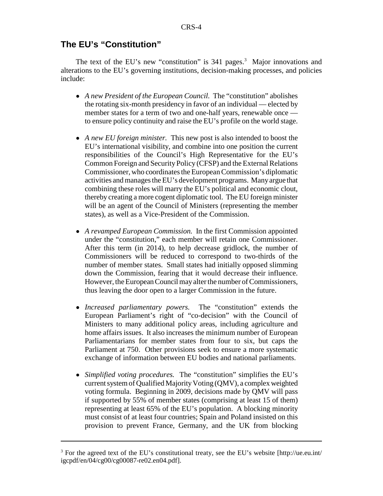## **The EU's "Constitution"**

The text of the EU's new "constitution" is 341 pages.<sup>3</sup> Major innovations and alterations to the EU's governing institutions, decision-making processes, and policies include:

- A new President of the European Council. The "constitution" abolishes the rotating six-month presidency in favor of an individual — elected by member states for a term of two and one-half years, renewable once to ensure policy continuity and raise the EU's profile on the world stage.
- *A new EU foreign minister.* This new post is also intended to boost the EU's international visibility, and combine into one position the current responsibilities of the Council's High Representative for the EU's Common Foreign and Security Policy (CFSP) and the External Relations Commissioner, who coordinates the European Commission's diplomatic activities and manages the EU's development programs. Many argue that combining these roles will marry the EU's political and economic clout, thereby creating a more cogent diplomatic tool. The EU foreign minister will be an agent of the Council of Ministers (representing the member states), as well as a Vice-President of the Commission.
- ! *A revamped European Commission.* In the first Commission appointed under the "constitution," each member will retain one Commissioner. After this term (in 2014), to help decrease gridlock, the number of Commissioners will be reduced to correspond to two-thirds of the number of member states. Small states had initially opposed slimming down the Commission, fearing that it would decrease their influence. However, the European Council may alter the number of Commissioners, thus leaving the door open to a larger Commission in the future.
- ! *Increased parliamentary powers.* The "constitution" extends the European Parliament's right of "co-decision" with the Council of Ministers to many additional policy areas, including agriculture and home affairs issues. It also increases the minimum number of European Parliamentarians for member states from four to six, but caps the Parliament at 750. Other provisions seek to ensure a more systematic exchange of information between EU bodies and national parliaments.
- ! *Simplified voting procedures.* The "constitution" simplifies the EU's current system of Qualified Majority Voting (QMV), a complex weighted voting formula. Beginning in 2009, decisions made by QMV will pass if supported by 55% of member states (comprising at least 15 of them) representing at least 65% of the EU's population. A blocking minority must consist of at least four countries; Spain and Poland insisted on this provision to prevent France, Germany, and the UK from blocking

<sup>&</sup>lt;sup>3</sup> For the agreed text of the EU's constitutional treaty, see the EU's website [http://ue.eu.int/ igcpdf/en/04/cg00/cg00087-re02.en04.pdf].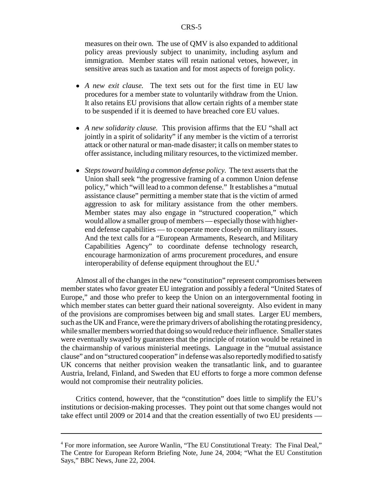measures on their own. The use of QMV is also expanded to additional policy areas previously subject to unanimity, including asylum and immigration. Member states will retain national vetoes, however, in sensitive areas such as taxation and for most aspects of foreign policy.

- ! *A new exit clause.* The text sets out for the first time in EU law procedures for a member state to voluntarily withdraw from the Union. It also retains EU provisions that allow certain rights of a member state to be suspended if it is deemed to have breached core EU values.
- ! *A new solidarity clause.* This provision affirms that the EU "shall act jointly in a spirit of solidarity" if any member is the victim of a terrorist attack or other natural or man-made disaster; it calls on member states to offer assistance, including military resources, to the victimized member.
- ! *Steps toward building a common defense policy.* The text asserts that the Union shall seek "the progressive framing of a common Union defense policy," which "will lead to a common defense." It establishes a "mutual assistance clause" permitting a member state that is the victim of armed aggression to ask for military assistance from the other members. Member states may also engage in "structured cooperation," which would allow a smaller group of members — especially those with higherend defense capabilities — to cooperate more closely on military issues. And the text calls for a "European Armaments, Research, and Military Capabilities Agency" to coordinate defense technology research, encourage harmonization of arms procurement procedures, and ensure interoperability of defense equipment throughout the EU.4

Almost all of the changes in the new "constitution" represent compromises between member states who favor greater EU integration and possibly a federal "United States of Europe," and those who prefer to keep the Union on an intergovernmental footing in which member states can better guard their national sovereignty. Also evident in many of the provisions are compromises between big and small states. Larger EU members, such as the UK and France, were the primary drivers of abolishing the rotating presidency, while smaller members worried that doing so would reduce their influence. Smaller states were eventually swayed by guarantees that the principle of rotation would be retained in the chairmanship of various ministerial meetings. Language in the "mutual assistance clause" and on "structured cooperation" in defense was also reportedly modified to satisfy UK concerns that neither provision weaken the transatlantic link, and to guarantee Austria, Ireland, Finland, and Sweden that EU efforts to forge a more common defense would not compromise their neutrality policies.

Critics contend, however, that the "constitution" does little to simplify the EU's institutions or decision-making processes. They point out that some changes would not take effect until 2009 or 2014 and that the creation essentially of two EU presidents —

<sup>&</sup>lt;sup>4</sup> For more information, see Aurore Wanlin, "The EU Constitutional Treaty: The Final Deal," The Centre for European Reform Briefing Note, June 24, 2004; "What the EU Constitution Says," BBC News, June 22, 2004.